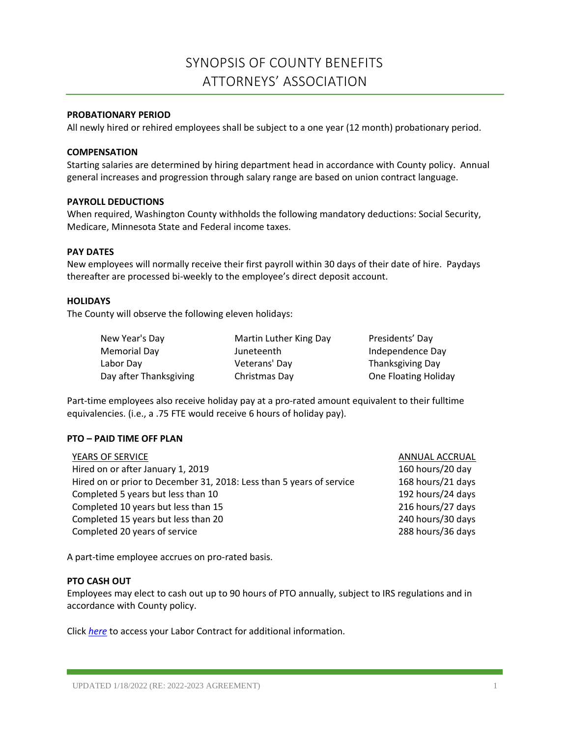# SYNOPSIS OF COUNTY BENEFITS ATTORNEYS' ASSOCIATION

## **PROBATIONARY PERIOD**

All newly hired or rehired employees shall be subject to a one year (12 month) probationary period.

#### **COMPENSATION**

Starting salaries are determined by hiring department head in accordance with County policy. Annual general increases and progression through salary range are based on union contract language.

## **PAYROLL DEDUCTIONS**

When required, Washington County withholds the following mandatory deductions: Social Security, Medicare, Minnesota State and Federal income taxes.

## **PAY DATES**

New employees will normally receive their first payroll within 30 days of their date of hire. Paydays thereafter are processed bi-weekly to the employee's direct deposit account.

## **HOLIDAYS**

The County will observe the following eleven holidays:

| New Year's Day         |
|------------------------|
| Memorial Dav           |
| Labor Dav              |
| Day after Thanksgiving |

Martin Luther King Day Presidents' Day Juneteenth Independence Day Veterans' Day **Thanksgiving Day** 

Christmas Day **Christmas Day Christmas Day Christmas Day Christmas Day Christmas Day Christmas Day Christmas D** 

Part-time employees also receive holiday pay at a pro-rated amount equivalent to their fulltime equivalencies. (i.e., a .75 FTE would receive 6 hours of holiday pay).

## **PTO – PAID TIME OFF PLAN**

| YEARS OF SERVICE                                                     | ANNUAL ACCRUAL    |
|----------------------------------------------------------------------|-------------------|
| Hired on or after January 1, 2019                                    | 160 hours/20 day  |
| Hired on or prior to December 31, 2018: Less than 5 years of service | 168 hours/21 days |
| Completed 5 years but less than 10                                   | 192 hours/24 days |
| Completed 10 years but less than 15                                  | 216 hours/27 days |
| Completed 15 years but less than 20                                  | 240 hours/30 days |
| Completed 20 years of service                                        | 288 hours/36 days |
|                                                                      |                   |

A part-time employee accrues on pro-rated basis.

## **PTO CASH OUT**

Employees may elect to cash out up to 90 hours of PTO annually, subject to IRS regulations and in accordance with County policy.

Click *[here](https://washnet.co.washington.mn.us/depts/hr/labagre/IntraCon/Attorney%20Association%20CBA.pdf)* to access your Labor Contract for additional information.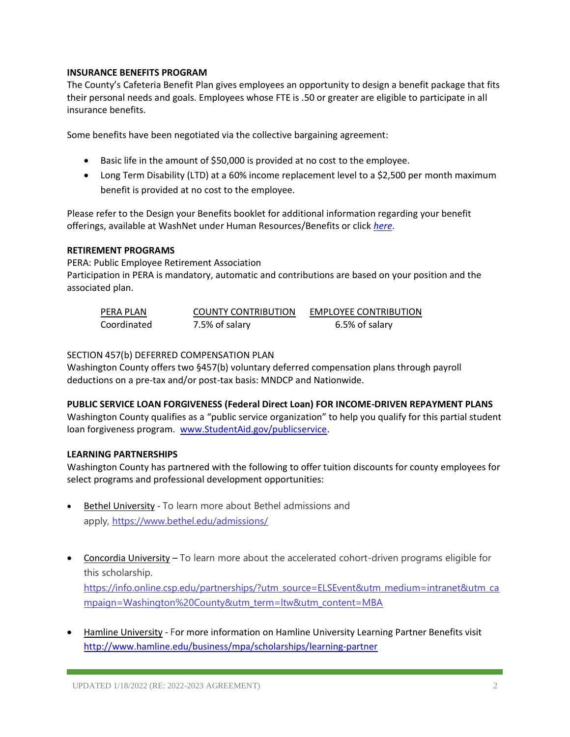## **INSURANCE BENEFITS PROGRAM**

The County's Cafeteria Benefit Plan gives employees an opportunity to design a benefit package that fits their personal needs and goals. Employees whose FTE is .50 or greater are eligible to participate in all insurance benefits.

Some benefits have been negotiated via the collective bargaining agreement:

- Basic life in the amount of \$50,000 is provided at no cost to the employee.
- Long Term Disability (LTD) at a 60% income replacement level to a \$2,500 per month maximum benefit is provided at no cost to the employee.

Please refer to the Design your Benefits booklet for additional information regarding your benefit offerings, available at WashNet under Human Resources/Benefits or click *[here](https://washnet.co.washington.mn.us/depts/hr/benefits2/Shared%20Documents/CurrentBenefitBook.pdf?csf=1&e=CmQiSr)*.

## **RETIREMENT PROGRAMS**

PERA: Public Employee Retirement Association Participation in PERA is mandatory, automatic and contributions are based on your position and the associated plan.

| PERA PLAN   | <b>COUNTY CONTRIBUTION</b> | <b>EMPLOYEE CONTRIBUTION</b> |
|-------------|----------------------------|------------------------------|
| Coordinated | 7.5% of salary             | 6.5% of salary               |

## SECTION 457(b) DEFERRED COMPENSATION PLAN

Washington County offers two §457(b) voluntary deferred compensation plans through payroll deductions on a pre-tax and/or post-tax basis: MNDCP and Nationwide.

## **PUBLIC SERVICE LOAN FORGIVENESS (Federal Direct Loan) FOR INCOME-DRIVEN REPAYMENT PLANS**

Washington County qualifies as a "public service organization" to help you qualify for this partial student loan forgiveness program. [www.StudentAid.gov/publicservice.](http://www.studentaid.gov/publicservice)

#### **LEARNING PARTNERSHIPS**

Washington County has partnered with the following to offer tuition discounts for county employees for select programs and professional development opportunities:

- Bethel University To learn more about Bethel admissions and apply, <https://www.bethel.edu/admissions/>
- Concordia University To learn more about the accelerated cohort-driven programs eligible for this scholarship. [https://info.online.csp.edu/partnerships/?utm\\_source=ELSEvent&utm\\_medium=intranet&utm\\_ca](https://info.online.csp.edu/partnerships/?utm_source=ELSEvent&utm_medium=intranet&utm_campaign=Washington%20County&utm_term=ltw&utm_content=MBA)

[mpaign=Washington%20County&utm\\_term=ltw&utm\\_content=MBA](https://info.online.csp.edu/partnerships/?utm_source=ELSEvent&utm_medium=intranet&utm_campaign=Washington%20County&utm_term=ltw&utm_content=MBA)

• Hamline University - For more information on Hamline University Learning Partner Benefits visit <http://www.hamline.edu/business/mpa/scholarships/learning-partner>